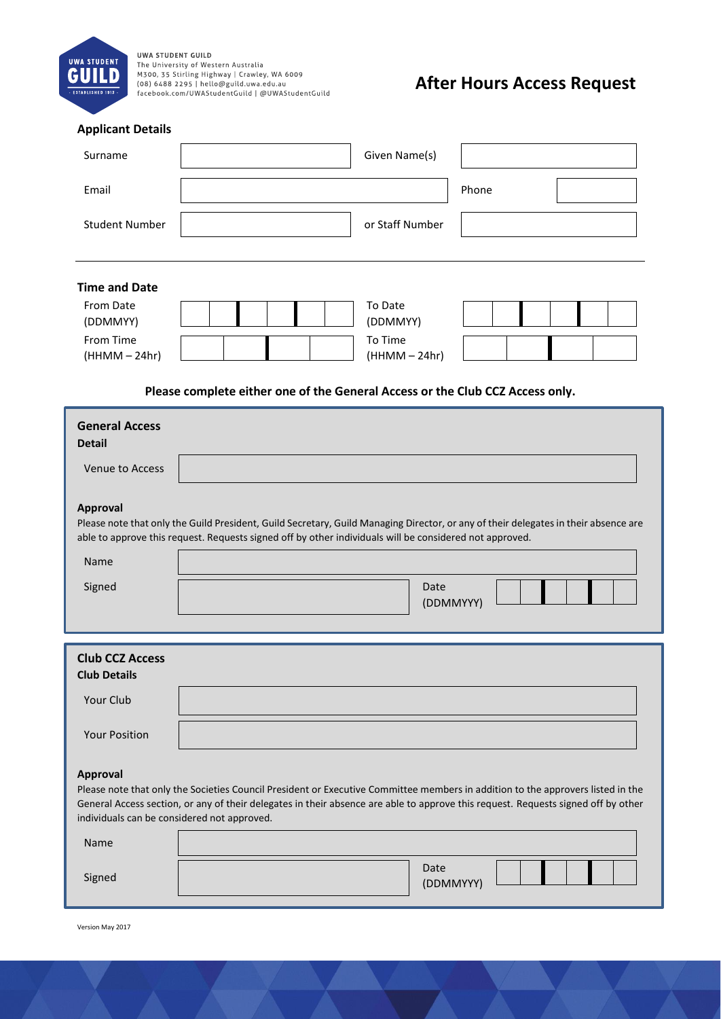

UWA STUDENT GUILD<br>The University of Western Australia<br>M300, 35 Stirling Highway | Crawley, WA 6009<br>(08) 6488 2295 | hello@guild.uwa.edu.au<br>facebook.com/UWAStudentGuild | @UWAStudentGuild

## **After Hours Access Request**

| <b>Applicant Details</b>                                                                                                                                                                                                                                                                                                               |                                                                                                                                                                                                                                                |  |  |  |  |  |
|----------------------------------------------------------------------------------------------------------------------------------------------------------------------------------------------------------------------------------------------------------------------------------------------------------------------------------------|------------------------------------------------------------------------------------------------------------------------------------------------------------------------------------------------------------------------------------------------|--|--|--|--|--|
| Surname                                                                                                                                                                                                                                                                                                                                | Given Name(s)                                                                                                                                                                                                                                  |  |  |  |  |  |
| Email                                                                                                                                                                                                                                                                                                                                  | Phone                                                                                                                                                                                                                                          |  |  |  |  |  |
| <b>Student Number</b>                                                                                                                                                                                                                                                                                                                  | or Staff Number                                                                                                                                                                                                                                |  |  |  |  |  |
| <b>Time and Date</b>                                                                                                                                                                                                                                                                                                                   |                                                                                                                                                                                                                                                |  |  |  |  |  |
| From Date<br>(DDMMYY)                                                                                                                                                                                                                                                                                                                  | To Date<br>(DDMMYY)                                                                                                                                                                                                                            |  |  |  |  |  |
| From Time<br>$(HHMM - 24hr)$                                                                                                                                                                                                                                                                                                           | To Time<br>$(HHMM - 24hr)$                                                                                                                                                                                                                     |  |  |  |  |  |
| Please complete either one of the General Access or the Club CCZ Access only.                                                                                                                                                                                                                                                          |                                                                                                                                                                                                                                                |  |  |  |  |  |
| <b>General Access</b><br><b>Detail</b>                                                                                                                                                                                                                                                                                                 |                                                                                                                                                                                                                                                |  |  |  |  |  |
| <b>Venue to Access</b>                                                                                                                                                                                                                                                                                                                 |                                                                                                                                                                                                                                                |  |  |  |  |  |
| <b>Approval</b>                                                                                                                                                                                                                                                                                                                        | Please note that only the Guild President, Guild Secretary, Guild Managing Director, or any of their delegates in their absence are<br>able to approve this request. Requests signed off by other individuals will be considered not approved. |  |  |  |  |  |
| <b>Name</b>                                                                                                                                                                                                                                                                                                                            |                                                                                                                                                                                                                                                |  |  |  |  |  |
| Signed                                                                                                                                                                                                                                                                                                                                 | Date<br>(DDMMYYY)                                                                                                                                                                                                                              |  |  |  |  |  |
| <b>Club CCZ Access</b><br><b>Club Details</b>                                                                                                                                                                                                                                                                                          |                                                                                                                                                                                                                                                |  |  |  |  |  |
| Your Club                                                                                                                                                                                                                                                                                                                              |                                                                                                                                                                                                                                                |  |  |  |  |  |
| <b>Your Position</b>                                                                                                                                                                                                                                                                                                                   |                                                                                                                                                                                                                                                |  |  |  |  |  |
| <b>Approval</b><br>Please note that only the Societies Council President or Executive Committee members in addition to the approvers listed in the<br>General Access section, or any of their delegates in their absence are able to approve this request. Requests signed off by other<br>individuals can be considered not approved. |                                                                                                                                                                                                                                                |  |  |  |  |  |
| Name                                                                                                                                                                                                                                                                                                                                   |                                                                                                                                                                                                                                                |  |  |  |  |  |
| Signed                                                                                                                                                                                                                                                                                                                                 | Date<br>(DDMMYYY)                                                                                                                                                                                                                              |  |  |  |  |  |

Version May 2017